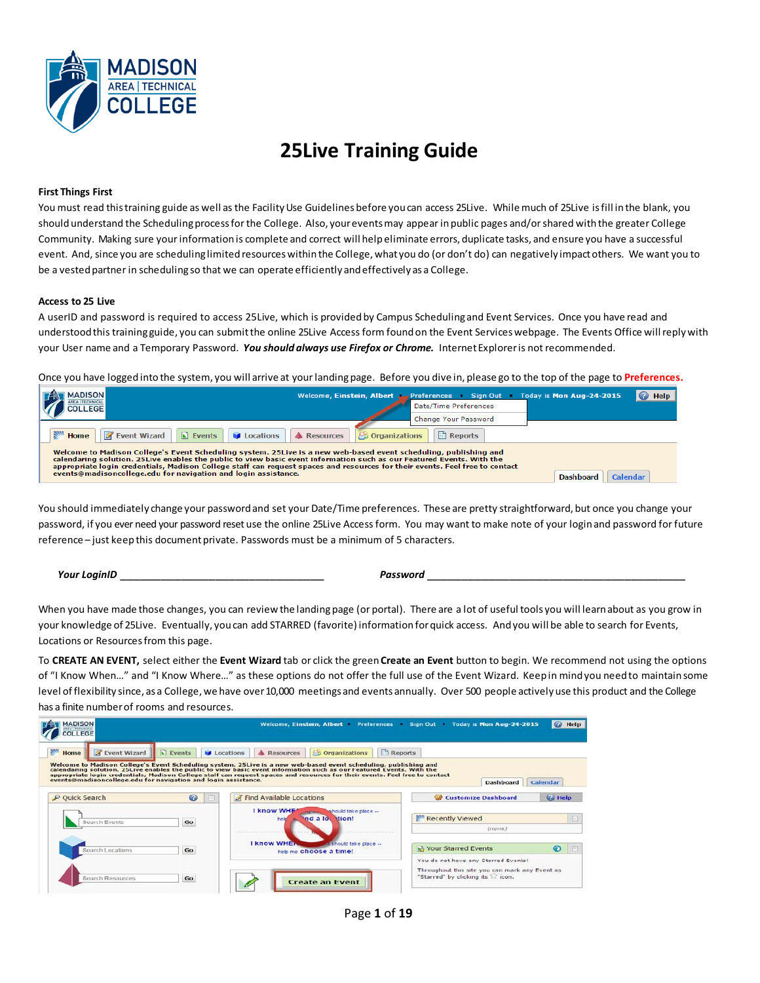

# **25Live Training Guide**

### **First Things First**

You must read this training guide as well as the Facility Use Guidelines before you can access 25Live. While much of 25Live is fill in the blank, you should understand the Scheduling process for the College. Also, your events may appear in public pages and/or shared with the greater College Community. Making sure yourinformationis complete and correct will helpeliminate errors, duplicate tasks, and ensure you have a successful event. And, since you are scheduling limited resources within the College, what you do (or don't do) can negatively impact others. We want you to be a vested partner in scheduling so that we can operate efficiently and effectively as a College.

#### **Access to 25 Live**

A userID and password is required to access 25Live, which is providedby Campus Schedulingand Event Services. Once you have read and understood this trainingguide, you can submit the online 25Live Access form found on the Event Services webpage. The Events Office will reply with your User name and a Temporary Password. *You should always use Firefox or Chrome.* InternetExploreris not recommended.

Once you have loggedinto the system, you will arrive at yourlandingpage. Before you dive in, please go to the top of the page to **Preferences.**

| <b>MADISON</b>                                                                                                                                                                                                                                                                                                                                              | Welcome, Einstein, Albert (Preferences Sign Out Today is Mon Aug-24-2015<br>Date/Time Preferences<br><b>Change Your Password</b> | Help<br>$\bullet$ |  |
|-------------------------------------------------------------------------------------------------------------------------------------------------------------------------------------------------------------------------------------------------------------------------------------------------------------------------------------------------------------|----------------------------------------------------------------------------------------------------------------------------------|-------------------|--|
| <b>Film</b><br>Event Wizard   Events   Locations   A Resources<br><b>S</b> Organizations<br>Reports<br>Home  <br>Welcome to Madison College's Event Scheduling system. 25Live is a new web-based event scheduling, publishing and<br>calendaring solution. 25 Live enables the public to view basic event information such as our Featured Events. With the |                                                                                                                                  |                   |  |
| appropriate login credentials, Madison College staff can request spaces and resources for their events. Feel free to contact<br>events@madisoncollege.edu for navigation and login assistance.<br><b>Dashboard</b><br><b>Calendar</b>                                                                                                                       |                                                                                                                                  |                   |  |

You should immediately change your passwordand set your Date/Time preferences. These are pretty straightforward, but once you change your password, if you ever need your password reset use the online 25Live Access form. You may want to make note of your login and password for future reference – just keep this document private. Passwords must be a minimum of 5 characters.

 *Your LoginID* \_\_\_\_\_\_\_\_\_\_\_\_\_\_\_\_\_\_\_\_\_\_\_\_\_\_\_\_\_\_ *Password* \_\_\_\_\_\_\_\_\_\_\_\_\_\_\_\_\_\_\_\_\_\_\_\_\_\_\_\_\_\_\_\_\_\_\_\_\_\_

When you have made those changes, you can review the landing page (or portal). There are a lot of useful tools you will learn about as you grow in your knowledge of 25Live. Eventually, you can add STARRED (favorite) information for quick access. And you will be able to search for Events, Locations or Resources from this page.

To **CREATE AN EVENT,** select either the **Event Wizard** tab or click the green**Create an Event** button to begin. We recommend not using the options of "I Know When…" and "I Know Where…" as these options do not offer the full use of the Event Wizard. Keepin mindyou needto maintainsome level of flexibility since, as a College, we have over10,000 meetings and events annually. Over 500 people actively use this product and the College has a finite numberof rooms and resources.



Page **1** of **19**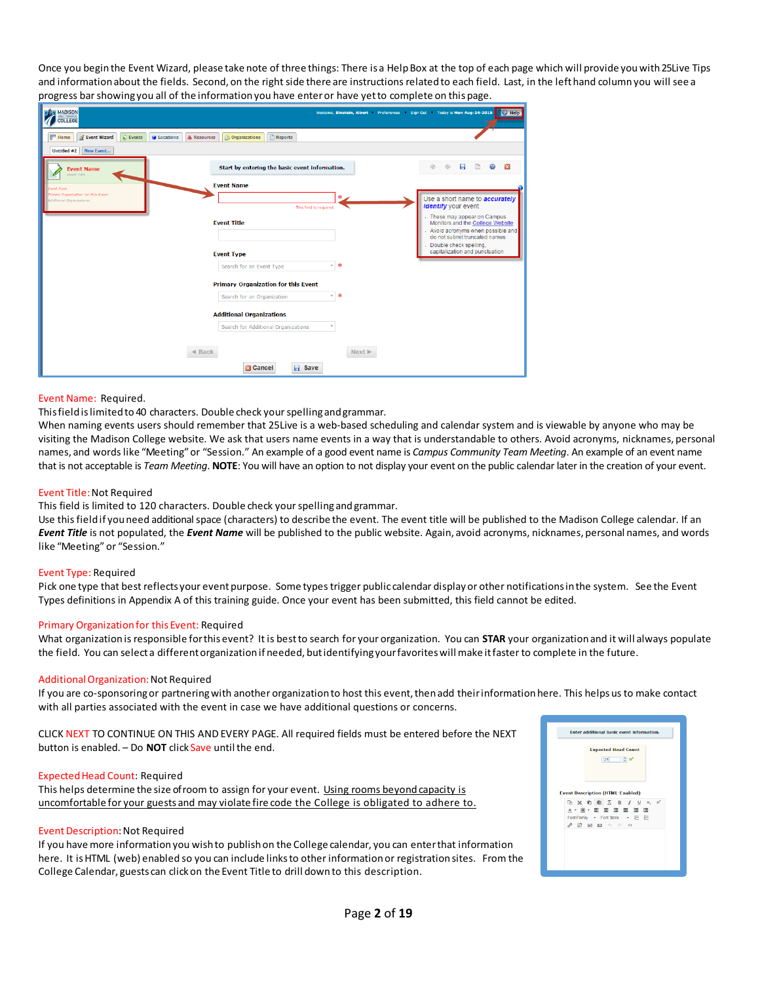Once you beginthe Event Wizard, please take note of three things: There is a HelpBox at the top of each page which will provide youwith25Live Tips and informationabout the fields. Second, on the right side there are instructions relatedto each field. Last, in the lefthand column you will see a progress barshowingyou all of the informationyou have enteror have yetto complete on this page.

| ັ<br>. ا ن                                                                                                      | ,                                              |                            | - - - -<br><b>1. O</b>                                                                                                                  |
|-----------------------------------------------------------------------------------------------------------------|------------------------------------------------|----------------------------|-----------------------------------------------------------------------------------------------------------------------------------------|
| MADISON<br>COLLEGE                                                                                              |                                                |                            | Wekome, Einstein, Albert Preferences Sign Out Today is Mon Aug-24-2015 ? Help                                                           |
| <b>NWI</b> Home<br><b>Z</b> Event Wizard<br>$\boxed{\phantom{a}}$ Events<br><b>Ing</b> Locations<br>A Resources | Reports<br><b>S</b> Organizations              |                            |                                                                                                                                         |
| Untitled #2 New Event                                                                                           |                                                |                            |                                                                                                                                         |
| <b>Event Name</b><br>Event Title                                                                                | Start by entering the basic event information. |                            | 0<br>日<br>$\overline{\mathbf{x}}$<br>Ġ<br>⊕                                                                                             |
| vent Type                                                                                                       | <b>Event Name</b>                              |                            |                                                                                                                                         |
| Imary Organization for this Event<br>Additional Organizations                                                   | This field is required.                        |                            | Use a short name to <b>accurately</b><br><i>identify</i> your event                                                                     |
|                                                                                                                 | <b>Event Title</b>                             |                            | - These may appear on Campus<br>Monitors and the College Website<br>- Avoid acronyms when possible and<br>do not submit truncated names |
|                                                                                                                 | <b>Event Type</b>                              |                            | Double check spelling.<br>capitalization and punctuation                                                                                |
|                                                                                                                 | Search for an Event Type                       | v *                        |                                                                                                                                         |
|                                                                                                                 | <b>Primary Organization for this Event</b>     |                            |                                                                                                                                         |
|                                                                                                                 | Search for an Organization                     | <b>v</b> 米                 |                                                                                                                                         |
|                                                                                                                 | <b>Additional Organizations</b>                |                            |                                                                                                                                         |
|                                                                                                                 | Search for Additional Organizations            |                            |                                                                                                                                         |
|                                                                                                                 |                                                |                            |                                                                                                                                         |
|                                                                                                                 | $\triangleleft$ Back                           | Next $\blacktriangleright$ |                                                                                                                                         |
|                                                                                                                 | <b>同</b> Save<br><b>EX Cancel</b>              |                            |                                                                                                                                         |
|                                                                                                                 |                                                |                            |                                                                                                                                         |

#### Event Name: Required.

This field is limited to 40 characters. Double check your spelling and grammar.

When naming events users should remember that 25Live is a web-based scheduling and calendar system and is viewable by anyone who may be visiting the Madison College website. We ask that users name events in a way that is understandable to others. Avoid acronyms, nicknames, personal names, and wordslike "Meeting"or "Session." An example of a good event name is *Campus Community Team Meeting*. An example of an event name that is not acceptable is *Team Meeting*. **NOTE**: You will have an option to not display your event on the public calendar later in the creation of your event.

#### Event Title:Not Required

This field is limited to 120 characters. Double check your spelling and grammar.

Use thisfieldif youneed additionalspace (characters) to describe the event. The event title will be published to the Madison College calendar. If an *Event Title* is not populated, the *Event Name* will be published to the public website. Again, avoid acronyms, nicknames, personal names, and words like "Meeting" or "Session."

#### Event Type: Required

Pick one type that best reflects your event purpose. Some types trigger public calendar display or other notifications in the system. See the Event Types definitions in Appendix A of this training guide. Once your event has been submitted, this field cannot be edited.

#### Primary Organizationfor this Event: Required

What organizationis responsible forthis event? It is bestto search for your organization. You can **STAR** your organizationand it will always populate the field. You can selecta differentorganizationif needed, butidentifyingyourfavoriteswillmake itfasterto complete in the future.

#### AdditionalOrganization:Not Required

If you are co-sponsoring or partnering with another organization to host this event, then add their information here. This helps us to make contact with all parties associated with the event in case we have additional questions or concerns.

CLICK NEXT TO CONTINUE ON THIS AND EVERY PAGE. All required fields must be entered before the NEXT button is enabled. - Do **NOT** click Save until the end.

#### ExpectedHead Count: Required

This helps determine the size of room to assign for your event. Using rooms beyondcapacity is uncomfortable for your guests and may violate fire code the College is obligated to adhere to.

#### Event Description: Not Required

If you have more information you wish to publish on the College calendar, you can enter that information here. It isHTML (web) enabled so you can include linksto otherinformationor registrationsites. From the College Calendar, guests can clickon the Event Title to drill downto this description.

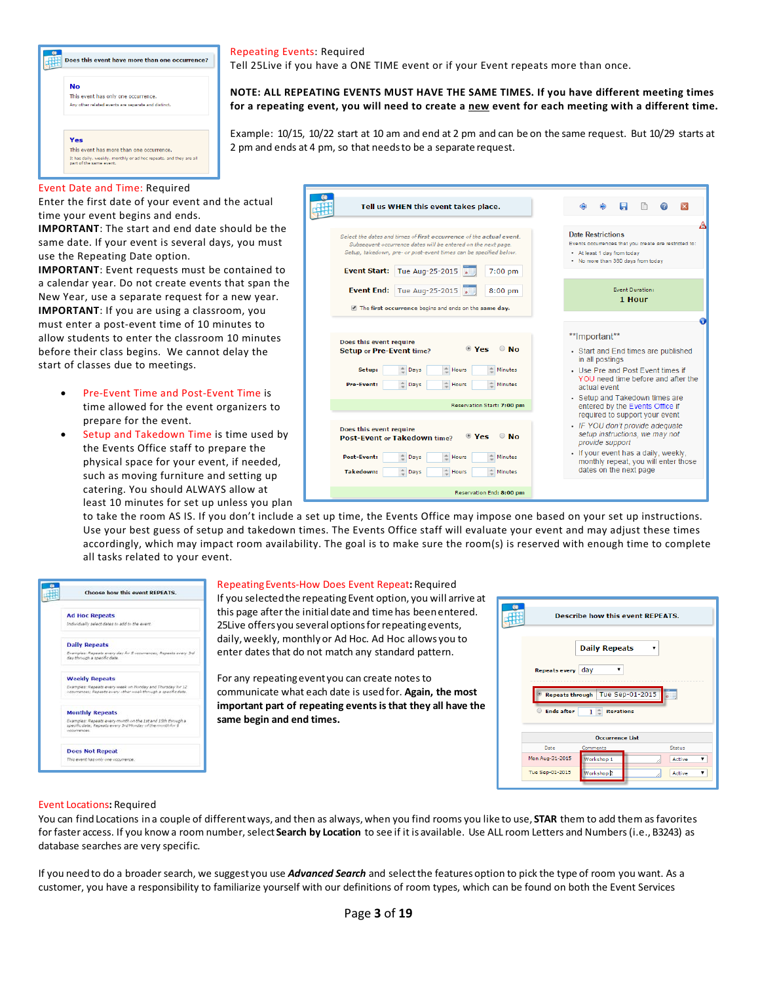

#### Repeating Events: Required

þ

Tell 25Live if you have a ONE TIME event or if your Event repeats more than once.

**NOTE: ALL REPEATING EVENTS MUST HAVE THE SAME TIMES. If you have different meeting times**  for a repeating event, you will need to create a new event for each meeting with a different time.

Example: 10/15, 10/22 start at 10 am and end at 2 pm and can be on the same request. But 10/29 starts at 2 pm and ends at 4 pm, so that needsto be a separate request.

#### Event Date and Time: Required

Enter the first date of your event and the actual time your event begins and ends.

**IMPORTANT**: The start and end date should be the same date. If your event is several days, you must use the Repeating Date option.

**IMPORTANT**: Event requests must be contained to a calendar year. Do not create events that span the New Year, use a separate request for a new year. **IMPORTANT**: If you are using a classroom, you must enter a post-event time of 10 minutes to allow students to enter the classroom 10 minutes before their class begins. We cannot delay the start of classes due to meetings.

- Pre-Event Time and Post-Event Time is time allowed for the event organizers to prepare for the event.
- Setup and Takedown Time is time used by the Events Office staff to prepare the physical space for your event, if needed, such as moving furniture and setting up catering. You should ALWAYS allow at least 10 minutes for set up unless you plan

| Tell us WHEN this event takes place.                                                                                                                                                                                                                                                                                                                                           | П<br>×<br>⊕                                                                                                                                                                                                                                                               |
|--------------------------------------------------------------------------------------------------------------------------------------------------------------------------------------------------------------------------------------------------------------------------------------------------------------------------------------------------------------------------------|---------------------------------------------------------------------------------------------------------------------------------------------------------------------------------------------------------------------------------------------------------------------------|
| Select the dates and times of first occurrence of the actual event.<br>Subsequent occurrence dates will be entered on the next page.<br>Setup, takedown, pre- or post-event times can be specified below.<br><b>Event Start:</b><br>Tue Aug-25-2015<br>$7:00$ pm                                                                                                               | <b>Date Restrictions</b><br>Events occurrences that you create are restricted to:<br>• At least 1 day from today<br>. No more than 360 days from today                                                                                                                    |
| <b>Event End:</b> Tue Aug-25-2015<br>$8:00$ pm<br>The first occurrence begins and ends on the same day.                                                                                                                                                                                                                                                                        | <b>Event Duration:</b><br>1 Hour                                                                                                                                                                                                                                          |
| Does this event require<br>$\bullet$ Yes<br>$\odot$ No<br><b>Setup or Pre-Event time?</b><br>$\stackrel{\scriptscriptstyle \triangle}{\phantom{}_{\sim}}$ Days<br>Setup:<br>$\stackrel{\scriptscriptstyle +}{\scriptscriptstyle -}$ Hours<br><b>≜ Minutes</b><br>$\triangle$ Days<br>$\triangleq$ Hours<br><b>≜ Minutes</b><br><b>Pre-Event:</b><br>Reservation Start: 7:00 pm | **Important**<br>• Start and End times are published<br>in all postings<br>• Use Pre and Post Fyent times if<br>YOU need time before and after the<br>actual event<br>• Setup and Takedown times are<br>entered by the Events Office if<br>required to support your event |
| Does this event require<br>$\bullet$ Yes<br><b>No</b><br><b>Post-Event or Takedown time?</b><br>Hours<br><b>≜ Minutes</b><br>Post-Event:<br>$\triangle$ Days<br>$\triangleq$ Days<br>$\stackrel{\scriptscriptstyle +}{\scriptscriptstyle +\! -}$ Hours<br><b>Takedown:</b><br>Minutes                                                                                          | • IF YOU don't provide adequate<br>setup instructions, we may not<br>provide support<br>• If your event has a daily, weekly,<br>monthly repeat, you will enter those<br>dates on the next page                                                                            |

to take the room AS IS. If you don't include a set up time, the Events Office may impose one based on your set up instructions. Use your best guess of setup and takedown times. The Events Office staff will evaluate your event and may adjust these times accordingly, which may impact room availability. The goal is to make sure the room(s) is reserved with enough time to complete all tasks related to your event.



#### RepeatingEvents-How Does Event Repeat**:** Required

If you selectedthe repeating Event option, you will arrive at this page afterthe initial date and time has beenentered. 25Live offers you several options for repeating events, daily,weekly, monthly or Ad Hoc. Ad Hoc allows you to enter dates that do not match any standard pattern.

For any repeating event you can create notes to communicate what each date is usedfor. **Again, the most important part of repeating eventsisthat they all have the same begin and end times.**

|                   | <b>Daily Repeats</b>                     | ▼                                                                                                  |
|-------------------|------------------------------------------|----------------------------------------------------------------------------------------------------|
|                   | day<br>▼                                 |                                                                                                    |
|                   |                                          |                                                                                                    |
| <b>Ends after</b> | $1 \nightharpoonup$<br><b>iterations</b> |                                                                                                    |
|                   | <b>Occurrence List</b>                   |                                                                                                    |
| Date              | Comments                                 | Status                                                                                             |
| Mon Aug-31-2015   | Workshop 1                               | Active                                                                                             |
| Tue Sep-01-2015   | Workshop <sub>2</sub>                    | Active                                                                                             |
|                   |                                          | <b>Describe how this event REPEATS.</b><br><b>Repeats every</b><br>Repeats through Tue Sep-01-2015 |

### Event Locations**:** Required

You can findLocations ina couple of differentways, and then as always, when you find rooms you like to use, **STAR** them to add them asfavorites forfaster access. If you know a room number, select **Search by Location** to see if it is available. Use ALL room Letters and Numbers(i.e., B3243) as database searches are very specific.

If you needto do a broadersearch, we suggest you use *Advanced Search* and selectthe featuresoption to pick the type of room you want. As a customer, you have a responsibility to familiarize yourself with our definitions of room types, which can be found on both the Event Services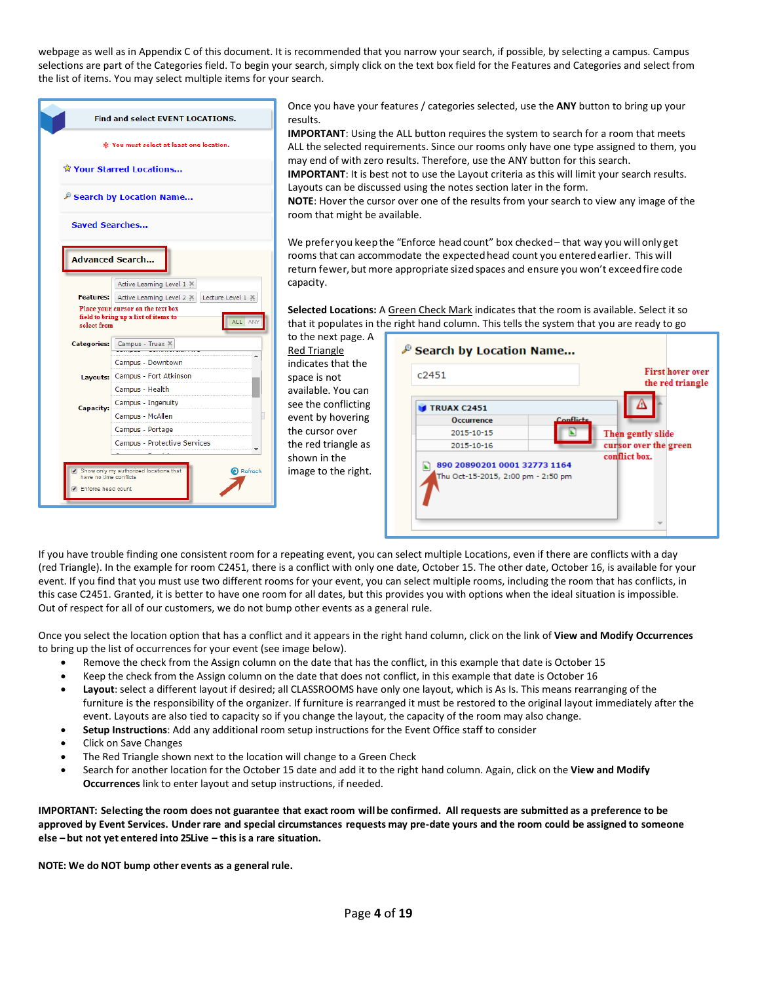webpage as well as in Appendix C of this document. It is recommended that you narrow your search, if possible, by selecting a campus. Campus selections are part of the Categories field. To begin your search, simply click on the text box field for the Features and Categories and select from the list of items. You may select multiple items for your search.

| Find and select EVENT LOCATIONS.                                                                                                                   |                                                   |
|----------------------------------------------------------------------------------------------------------------------------------------------------|---------------------------------------------------|
| * You must select at least one location.                                                                                                           |                                                   |
| Your Starred Locations                                                                                                                             |                                                   |
| P Search by Location Name                                                                                                                          |                                                   |
| <b>Saved Searches</b>                                                                                                                              |                                                   |
|                                                                                                                                                    | <b>Advanced Search</b>                            |
|                                                                                                                                                    | Active Learning Level 1 X                         |
| Active Learning Level 2 X Lecture Level 1 X<br>Place your cursor on the text box<br>field to bring up a list of items to<br>ALL ANT<br>select from |                                                   |
| <b>Categories:</b>                                                                                                                                 | Campus - Truax X                                  |
|                                                                                                                                                    | Campus - Downtown                                 |
| Layouts:                                                                                                                                           | Campus - Fort Atkinson                            |
|                                                                                                                                                    | Campus - Health                                   |
| <b>Capacity:</b>                                                                                                                                   | Campus - Ingenuity                                |
|                                                                                                                                                    | Π<br>Campus - McAllen                             |
|                                                                                                                                                    | Campus - Portage                                  |
|                                                                                                                                                    | Campus - Protective Services                      |
|                                                                                                                                                    |                                                   |
| have no time conflicts                                                                                                                             | Show only my authorized locations that<br>Refresh |
| Enforce head count                                                                                                                                 |                                                   |
|                                                                                                                                                    |                                                   |

Once you have your features / categories selected, use the **ANY** button to bring up your results.

**IMPORTANT**: Using the ALL button requires the system to search for a room that meets ALL the selected requirements. Since our rooms only have one type assigned to them, you may end of with zero results. Therefore, use the ANY button for this search.

**IMPORTANT**: It is best not to use the Layout criteria as this will limit your search results. Layouts can be discussed using the notes section later in the form.

**NOTE**: Hover the cursor over one of the results from your search to view any image of the room that might be available.

We preferyou keep the "Enforce head count" box checked – that way you will only get rooms that can accommodate the expectedhead count you enteredearlier. This will return fewer, but more appropriate sized spaces and ensure you won't exceed fire code capacity.

**Selected Locations:** A Green Check Mark indicates that the room is available. Select it so that it populates in the right hand column. This tells the system that you are ready to go

to the next page. A Red Triangle indicates that the space is not available. You can see the conflicting event by hovering the cursor over the red triangle as shown in the image to the right.

| c2451                                                              |           | <b>First hover over</b><br>the red triangle |
|--------------------------------------------------------------------|-----------|---------------------------------------------|
| <b>TRUAX C2451</b>                                                 |           |                                             |
| <b>Occurrence</b>                                                  | Conflicts |                                             |
| 2015-10-15                                                         |           | Then gently slide                           |
| 2015-10-16                                                         |           | cursor over the green                       |
| 890 20890201 0001 32773 1164<br>Thu Oct-15-2015, 2:00 pm - 2:50 pm |           | conflict box.                               |

If you have trouble finding one consistent room for a repeating event, you can select multiple Locations, even if there are conflicts with a day (red Triangle). In the example for room C2451, there is a conflict with only one date, October 15. The other date, October 16, is available for your event. If you find that you must use two different rooms for your event, you can select multiple rooms, including the room that has conflicts, in this case C2451. Granted, it is better to have one room for all dates, but this provides you with options when the ideal situation is impossible. Out of respect for all of our customers, we do not bump other events as a general rule.

Once you select the location option that has a conflict and it appears in the right hand column, click on the link of **View and Modify Occurrences** to bring up the list of occurrences for your event (see image below).

- Remove the check from the Assign column on the date that has the conflict, in this example that date is October 15
- Keep the check from the Assign column on the date that does not conflict, in this example that date is October 16
- **Layout**: select a different layout if desired; all CLASSROOMS have only one layout, which is As Is. This means rearranging of the furniture is the responsibility of the organizer. If furniture is rearranged it must be restored to the original layout immediately after the event. Layouts are also tied to capacity so if you change the layout, the capacity of the room may also change.
- **Setup Instructions**: Add any additional room setup instructions for the Event Office staff to consider
- Click on Save Changes
- The Red Triangle shown next to the location will change to a Green Check
- Search for another location for the October 15 date and add it to the right hand column. Again, click on the **View and Modify Occurrences** link to enter layout and setup instructions, if needed.

IMPORTANT: Selecting the room does not guarantee that exact room will be confirmed. All requests are submitted as a preference to be approved by Event Services. Under rare and special circumstances requests may pre-date yours and the room could be assigned to someone **else – but not yet entered into 25Live – this is a rare situation.**

**NOTE: We do NOT bump other events as a general rule.**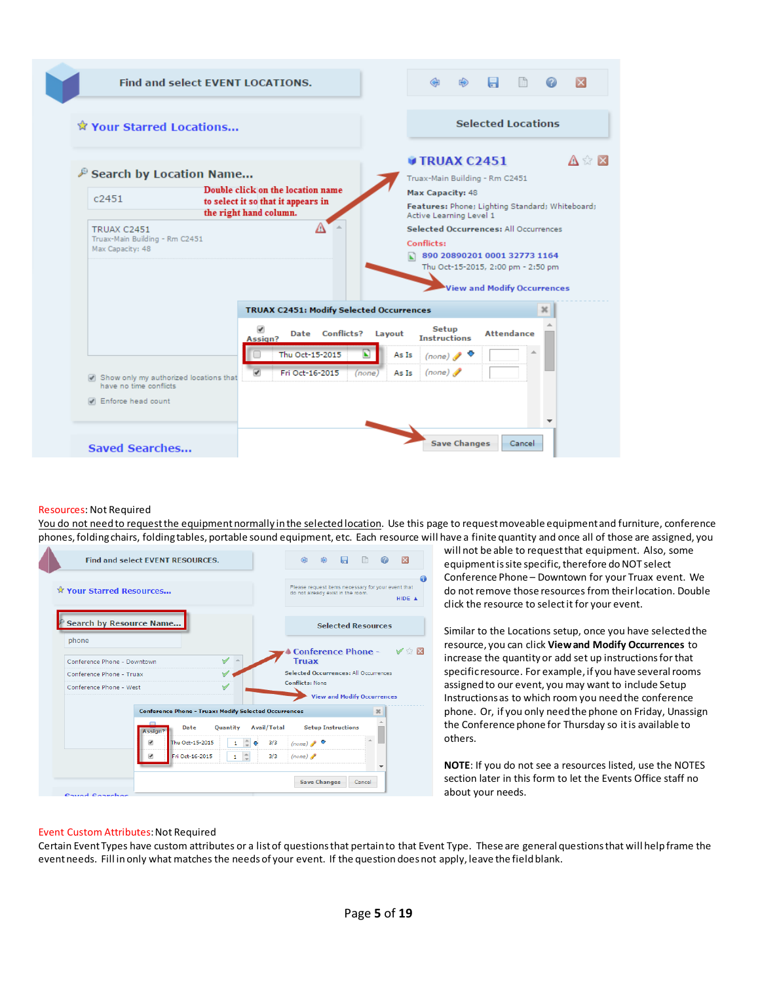

#### Resources: Not Required

You do not need to request the equipment normally in the selected location. Use this page to request moveable equipment and furniture, conference phones,foldingchairs, foldingtables, portable sound equipment, etc. Each resource will have a finite quantity and once all of those are assigned, you



will not be able to requestthat equipment. Also, some equipment is site specific, therefore do NOT select Conference Phone – Downtown for your Truax event. We do not remove those resources from theirlocation. Double click the resource to selectit for your event.

Similar to the Locations setup, once you have selectedthe resource, you can click **Viewand Modify Occurrences** to increase the quantity or add set up instructionsforthat specific resource. For example, if you have several rooms assignedto our event, you may want to include Setup Instructionsas to which room you needthe conference phone. Or, if you only needthe phone on Friday, Unassign the Conference phone for Thursday so itis available to others.

**NOTE**: If you do not see a resources listed, use the NOTES section later in this form to let the Events Office staff no about your needs.

#### Event Custom Attributes: Not Required

Certain EventTypes have custom attributes or a listof questionsthat pertainto that Event Type. These are general questionsthat will helpframe the eventneeds. Fill inonly what matches the needsof your event. If the question doesnot apply, leave the fieldblank.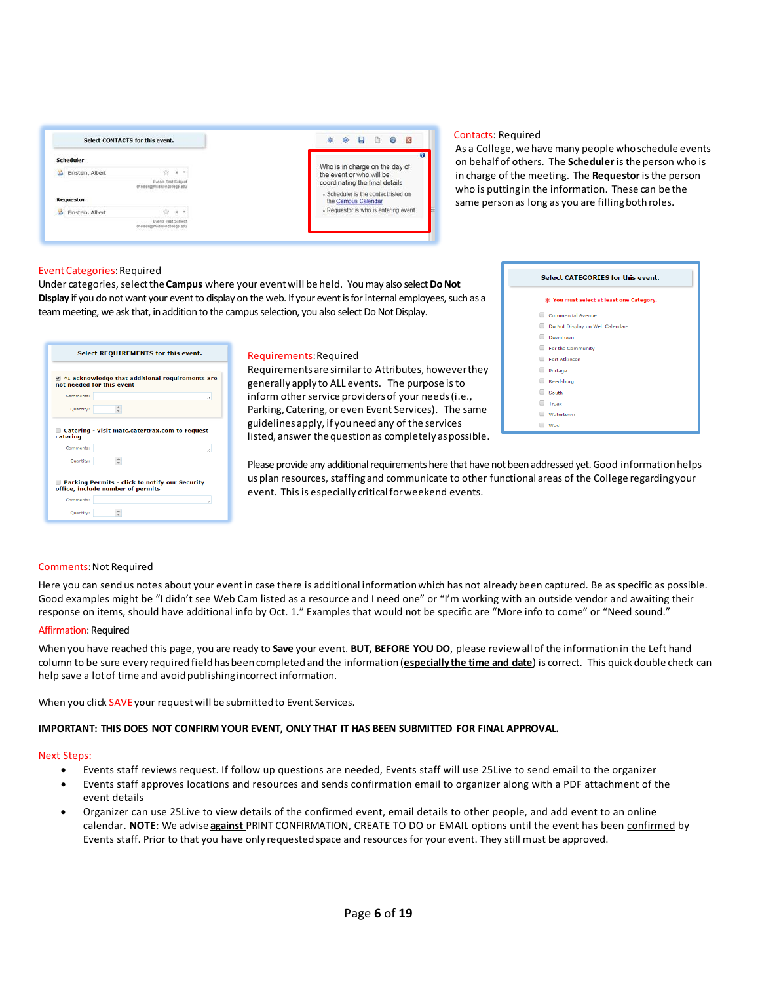| Select CONTACTS for this event. |                                                          | 一 面<br>$\Box$<br>$\circ$<br>$\overline{\mathbf{x}}$         |
|---------------------------------|----------------------------------------------------------|-------------------------------------------------------------|
| Scheduler                       |                                                          |                                                             |
| d Einstein, Albert              | $\mathbf{x}$<br>$\cdot$                                  | Who is in charge on the day of<br>the event or who will be  |
|                                 | <b>Events Test Subject</b><br>dheiser@madisoncollege.edu | coordinating the final details                              |
| <b>Requestor</b>                |                                                          | · Scheduler is the contact listed on<br>the Campus Calendar |
| Einstein, Albert<br>as.         | $\mathcal{H}$<br>٠                                       | · Requestor is who is entering event                        |
|                                 | <b>Events Test Subject</b><br>iser@madisoncollege.edu    |                                                             |

#### Contacts: Required

As a College, we have many people who schedule events on behalf of others. The **Scheduler** isthe person who is in charge of the meeting. The **Requestor**isthe person who is puttingin the information. These can be the same person as long as you are filling both roles.

#### Event Categories: Required

Under categories, select the **Campus** where your event will be held. You may also select **Do Not Display** if you do not want your event to display on the web. If your event is for internal employees, such as a team meeting, we ask that, in addition to the campus selection, you also select Do Not Display.

| Select REQUIREMENTS for this event.                                                         |  |  |
|---------------------------------------------------------------------------------------------|--|--|
| $\blacksquare$ *I acknowledge that additional requirements are<br>not needed for this event |  |  |
| Comments:                                                                                   |  |  |
| <b>Ouantity:</b>                                                                            |  |  |
| Catering - visit matc.catertrax.com to request<br>catering<br>Comments:                     |  |  |
| Quantity:                                                                                   |  |  |
| Parking Permits - click to notify our Security<br>office, include number of permits         |  |  |
| Comments:                                                                                   |  |  |
| Ouantity:                                                                                   |  |  |

#### Requirements:Required

Requirements are similarto Attributes, howeverthey generally apply to ALL events. The purpose isto inform other service providers of your needs (i.e., Parking, Catering, or even Event Services). The same guidelines apply, if youneedany of the services listed, answer the question as completely as possible.

| Select CATEGORIES for this event.        |  |  |
|------------------------------------------|--|--|
| * You must select at least one Category. |  |  |
| Commercial Avenue                        |  |  |
| Do Not Display on Web Calendars<br>□     |  |  |
| Downtown                                 |  |  |
| For the Community                        |  |  |
| Fort Atkinson                            |  |  |
| □<br>Portage                             |  |  |
| Reedsburg                                |  |  |
| South<br>□                               |  |  |
| Truax                                    |  |  |
| Watertown                                |  |  |
| West                                     |  |  |

Please provide any additional requirements here that have not been addressed yet. Good information helps us plan resources, staffingand communicate to other functional areas of the College regardingyour event. This is especially critical for weekend events.

#### Comments:Not Required

Here you can send us notes about your eventin case there is additional informationwhich has not already been captured. Be as specific as possible. Good examples might be "I didn't see Web Cam listed as a resource and I need one" or "I'm working with an outside vendor and awaiting their response on items, should have additional info by Oct. 1." Examples that would not be specific are "More info to come" or "Need sound."

#### Affirmation: Required

When you have reached this page, you are ready to **Save** your event. **BUT, BEFORE YOU DO**, please reviewall of the informationin the Left hand column to be sure every required fieldhasbeencompletedand the information(**especially the time and date**) is correct. This quick double check can help save a lot of time and avoid publishing incorrect information.

When you click SAVE your request will be submitted to Event Services.

### **IMPORTANT: THIS DOES NOT CONFIRM YOUR EVENT, ONLY THAT IT HAS BEEN SUBMITTED FOR FINAL APPROVAL.**

#### Next Steps:

- Events staff reviews request. If follow up questions are needed, Events staff will use 25Live to send email to the organizer
- Events staff approves locations and resources and sends confirmation email to organizer along with a PDF attachment of the event details
- Organizer can use 25Live to view details of the confirmed event, email details to other people, and add event to an online calendar. **NOTE**: We advise **against** PRINT CONFIRMATION, CREATE TO DO or EMAIL options until the event has been confirmed by Events staff. Prior to that you have only requested space and resources for your event. They still must be approved.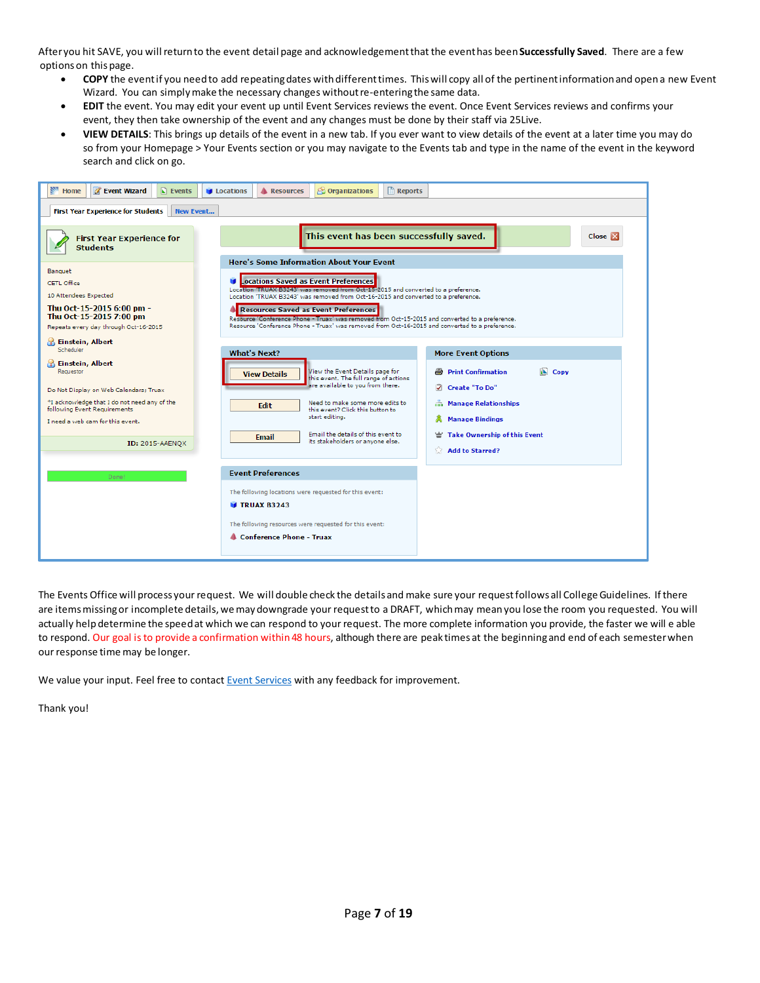Afteryou hit SAVE, you willreturnto the event detail page and acknowledgementthat the eventhas been**Successfully Saved**. There are a few optionson thispage.

- **COPY** the eventif you needto add repeatingdates withdifferenttimes. Thiswill copy all of the pertinentinformationand opena new Event Wizard. You can simply make the necessary changes without re-entering the same data.
- **EDIT** the event. You may edit your event up until Event Services reviews the event. Once Event Services reviews and confirms your event, they then take ownership of the event and any changes must be done by their staff via 25Live.
- **VIEW DETAILS**: This brings up details of the event in a new tab. If you ever want to view details of the event at a later time you may do so from your Homepage > Your Events section or you may navigate to the Events tab and type in the name of the event in the keyword search and click on go.



The Events Office will process your request. We will double check the details and make sure your request follows all College Guidelines. If there are items missing or incomplete details, we may downgrade your request to a DRAFT, which may mean you lose the room you requested. You will actually help determine the speed at which we can respond to your request. The more complete information you provide, the faster we will e able to respond. Our goal is to provide a confirmation within 48 hours, although there are peak times at the beginning and end of each semester when our response time may be longer.

We value your input. Feel free to contact **Event Services** with any feedback for improvement.

Thank you!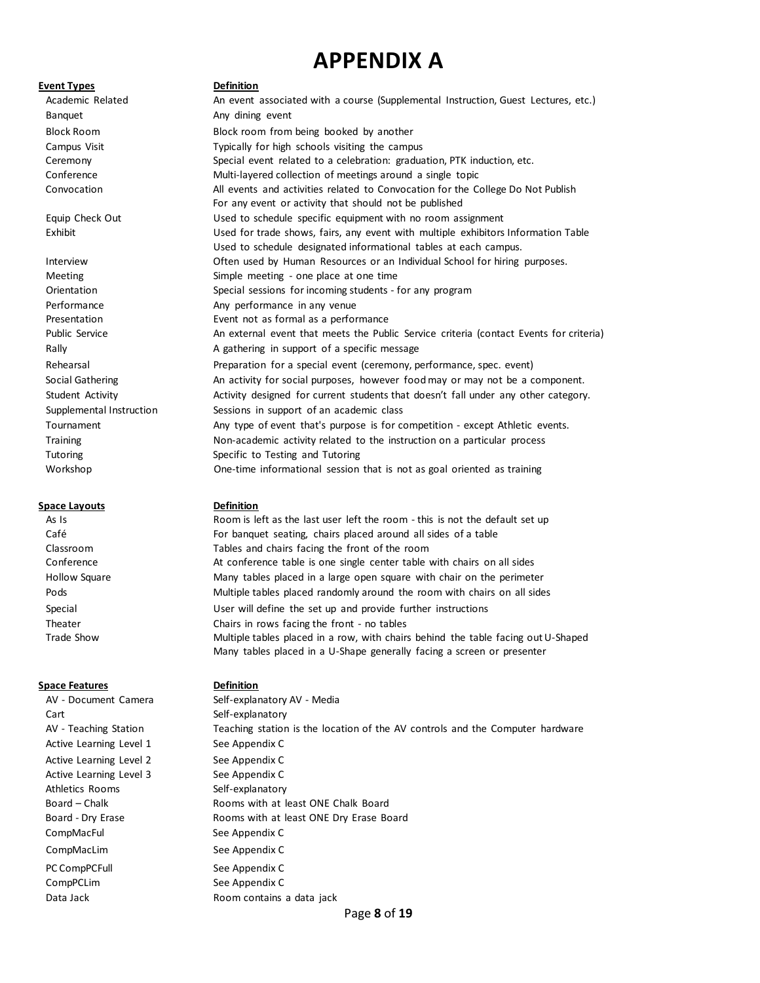# **APPENDIX A**

#### **Event Types Definition**

Banquet **Any dining event** 

#### **Space Layouts Definition**

#### **Space Features Definition**

Cart Cart Self-explanatory Active Learning Level 1 See Appendix C Active Learning Level 2 See Appendix C Active Learning Level 3 See Appendix C Athletics Rooms Self-explanatory CompMacFul See Appendix C CompMacLim See Appendix C PC CompPCFull See Appendix C CompPCLim See Appendix C

Academic Related **An event associated with a course (Supplemental Instruction, Guest Lectures, etc.)** Block Room Block room from being booked by another Campus Visit Typically for high schools visiting the campus Ceremony Special event related to a celebration: graduation, PTK induction, etc. Conference Multi-layered collection of meetings around a single topic Convocation All events and activities related to Convocation for the College Do Not Publish For any event or activity that should not be published Equip Check Out Used to schedule specific equipment with no room assignment Exhibit Used for trade shows, fairs, any event with multiple exhibitors Information Table Used to schedule designated informational tables at each campus. Interview Often used by Human Resources or an Individual School for hiring purposes. Meeting meeting - one place at one time Orientation Special sessions for incoming students - for any program Performance **Any performance** in any venue Presentation Event not as formal as a performance Public Service **An external event that meets the Public Service criteria** (contact Events for criteria) Rally Rally **A gathering in support of a specific message** Rehearsal **Preparation for a special event (ceremony, performance, spec. event)** Rehearsal Social Gathering An activity for social purposes, however food may or may not be a component. Student Activity **Activity designed for current students that doesn't fall under any other category.** Supplemental Instruction Sessions in support of an academic class Tournament **Any type of event that's purpose is for competition - except Athletic events.** Training Training Training Non-academic activity related to the instruction on a particular process Tutoring Specific to Testing and Tutoring Workshop One-time informational session that is not as goal oriented as training

As Is **As Is** Room is left as the last user left the room - this is not the default set up Café For banquet seating, chairs placed around all sides of a table Classroom Tables and chairs facing the front of the room Conference **At conference table is one single center table with chairs on all sides** Hollow Square The Many tables placed in a large open square with chair on the perimeter Pods **Multiple tables placed randomly around the room with chairs on all sides** Pods Special User will define the set up and provide further instructions Theater Chairs in rows facing the front - no tables Trade Show **Multiple tables placed in a row, with chairs behind the table facing out U-Shaped** Many tables placed in a U-Shape generally facing a screen or presenter

AV - Document Camera Self-explanatory AV - Media AV - Teaching Station Teaching station is the location of the AV controls and the Computer hardware Board – Chalk **Rooms** with at least ONE Chalk Board Board - Dry Erase **Rooms** with at least ONE Dry Erase Board Data Jack **Data Jack** Room contains a data jack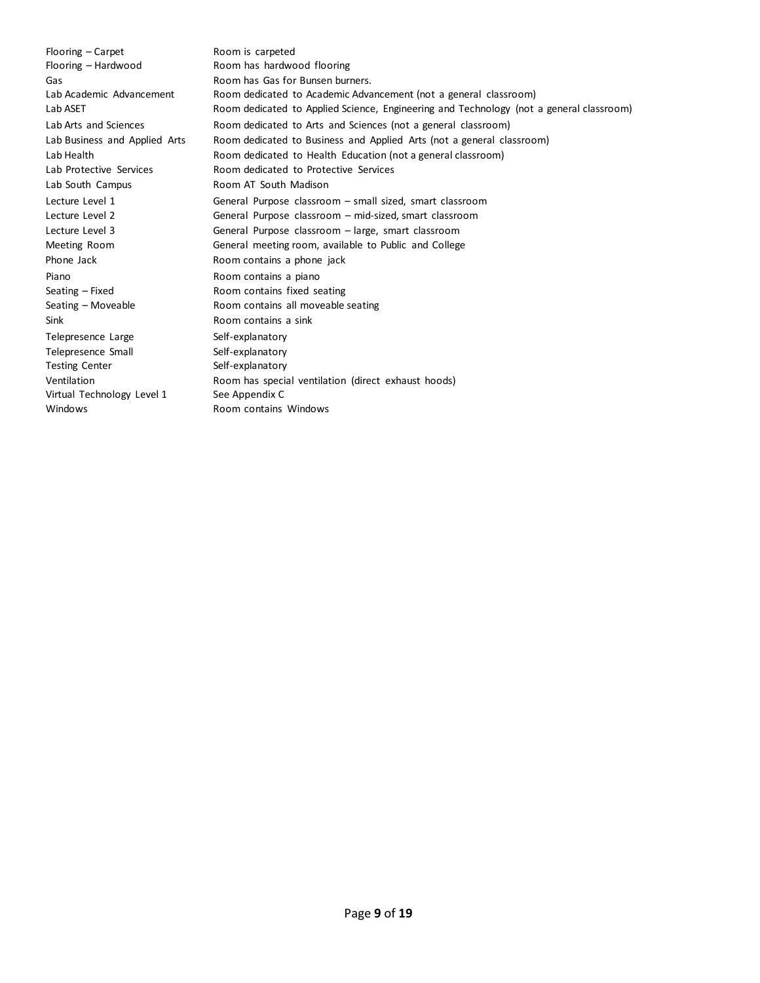Flooring – Carpet Room is carpeted Flooring – Hardwood Room has hardwood flooring Lab South Campus **Room AT South Madison** Phone Jack **Room contains a phone jack** Piano **Piano Room contains a piano** Seating – Fixed Room contains fixed seating Sink Room contains a sink Telepresence Large Self-explanatory Telepresence Small Self-explanatory Testing Center Self-explanatory Virtual Technology Level 1 See Appendix C Windows Room contains Windows

Gas Gas Room has Gas for Bunsen burners. Lab Academic Advancement Room dedicated to Academic Advancement (not a general classroom) Lab ASET **Room dedicated to Applied Science, Engineering and Technology (not a general classroom)** Lab Arts and Sciences **Room dedicated to Arts and Sciences (not a general classroom)** Lab Business and Applied Arts Room dedicated to Business and Applied Arts (not a general classroom) Lab Health **Room dedicated to Health Education (not a general classroom)** Lab Protective Services **Room dedicated to Protective Services** Lecture Level 1 General Purpose classroom – small sized, smart classroom Lecture Level 2 General Purpose classroom – mid-sized, smart classroom Lecture Level 3 General Purpose classroom – large, smart classroom Meeting Room General meeting room, available to Public and College Seating – Moveable **Room contains all moveable seating** Ventilation **Room has special ventilation** (direct exhaust hoods)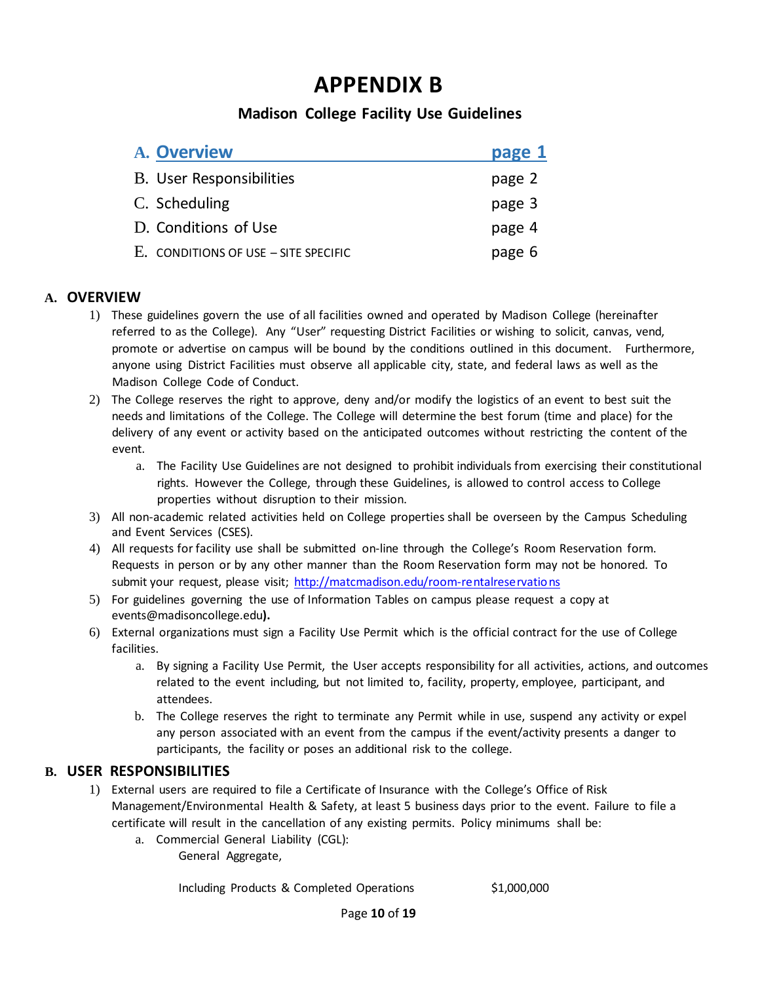# **APPENDIX B**

# **Madison College Facility Use Guidelines**

| A. Overview                            | page 1 |
|----------------------------------------|--------|
| B. User Responsibilities               | page 2 |
| C. Scheduling                          | page 3 |
| D. Conditions of Use                   | page 4 |
| $E.$ CONDITIONS OF USE – SITE SPECIFIC | page 6 |

# **A. OVERVIEW**

- 1) These guidelines govern the use of all facilities owned and operated by Madison College (hereinafter referred to as the College). Any "User" requesting District Facilities or wishing to solicit, canvas, vend, promote or advertise on campus will be bound by the conditions outlined in this document. Furthermore, anyone using District Facilities must observe all applicable city, state, and federal laws as well as the Madison College Code of Conduct.
- 2) The College reserves the right to approve, deny and/or modify the logistics of an event to best suit the needs and limitations of the College. The College will determine the best forum (time and place) for the delivery of any event or activity based on the anticipated outcomes without restricting the content of the event.
	- a. The Facility Use Guidelines are not designed to prohibit individuals from exercising their constitutional rights. However the College, through these Guidelines, is allowed to control access to College properties without disruption to their mission.
- 3) All non-academic related activities held on College properties shall be overseen by the Campus Scheduling and Event Services (CSES).
- 4) All requests for facility use shall be submitted on-line through the College's Room Reservation form. Requests in person or by any other manner than the Room Reservation form may not be honored. To submit your request, please visit; [http://matcmadison.edu/room-rentalreservations](http://madisoncollege.edu/room-rentalreservations)
- 5) For guidelines governing the use of Information Tables on campus please request a copy at events@madisoncollege.edu**).**
- 6) External organizations must sign a Facility Use Permit which is the official contract for the use of College facilities.
	- a. By signing a Facility Use Permit, the User accepts responsibility for all activities, actions, and outcomes related to the event including, but not limited to, facility, property, employee, participant, and attendees.
	- b. The College reserves the right to terminate any Permit while in use, suspend any activity or expel any person associated with an event from the campus if the event/activity presents a danger to participants, the facility or poses an additional risk to the college.

# **B. USER RESPONSIBILITIES**

- 1) External users are required to file a Certificate of Insurance with the College's Office of Risk Management/Environmental Health & Safety, at least 5 business days prior to the event. Failure to file a certificate will result in the cancellation of any existing permits. Policy minimums shall be:
	- a. Commercial General Liability (CGL):

General Aggregate,

Including Products & Completed Operations \$1,000,000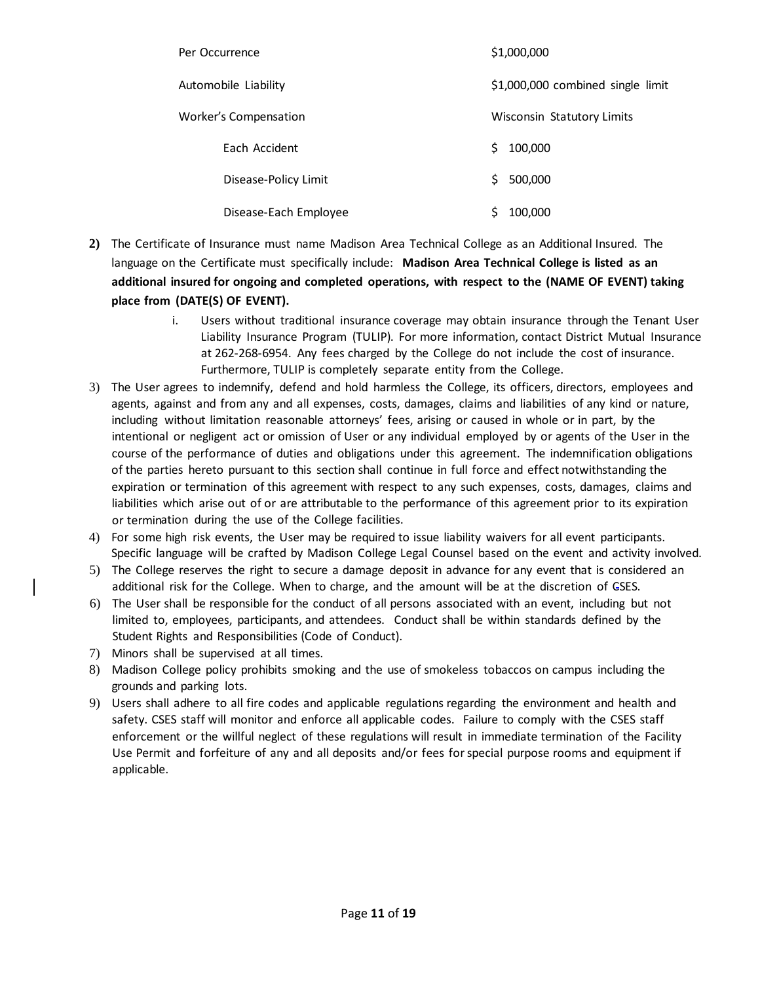| Per Occurrence               | \$1,000,000                       |
|------------------------------|-----------------------------------|
| Automobile Liability         | \$1,000,000 combined single limit |
| <b>Worker's Compensation</b> | Wisconsin Statutory Limits        |
| Each Accident                | 100,000<br>S.                     |
| Disease-Policy Limit         | 500,000<br>S.                     |
| Disease-Each Employee        | 100,000                           |

- **2)** The Certificate of Insurance must name Madison Area Technical College as an Additional Insured. The language on the Certificate must specifically include: **Madison Area Technical College is listed as an additional insured for ongoing and completed operations, with respect to the (NAME OF EVENT) taking place from (DATE(S) OF EVENT).**
	- i. Users without traditional insurance coverage may obtain insurance through the Tenant User Liability Insurance Program (TULIP). For more information, contact District Mutual Insurance at 262-268-6954. Any fees charged by the College do not include the cost of insurance. Furthermore, TULIP is completely separate entity from the College.
- 3) The User agrees to indemnify, defend and hold harmless the College, its officers, directors, employees and agents, against and from any and all expenses, costs, damages, claims and liabilities of any kind or nature, including without limitation reasonable attorneys' fees, arising or caused in whole or in part, by the intentional or negligent act or omission of User or any individual employed by or agents of the User in the course of the performance of duties and obligations under this agreement. The indemnification obligations of the parties hereto pursuant to this section shall continue in full force and effect notwithstanding the expiration or termination of this agreement with respect to any such expenses, costs, damages, claims and liabilities which arise out of or are attributable to the performance of this agreement prior to its expiration or termination during the use of the College facilities.
- 4) For some high risk events, the User may be required to issue liability waivers for all event participants. Specific language will be crafted by Madison College Legal Counsel based on the event and activity involved.
- 5) The College reserves the right to secure a damage deposit in advance for any event that is considered an additional risk for the College. When to charge, and the amount will be at the discretion of CSES.
- 6) The User shall be responsible for the conduct of all persons associated with an event, including but not limited to, employees, participants, and attendees. Conduct shall be within standards defined by the Student Rights and Responsibilities (Code of Conduct).
- 7) Minors shall be supervised at all times.
- 8) Madison College policy prohibits smoking and the use of smokeless tobaccos on campus including the grounds and parking lots.
- 9) Users shall adhere to all fire codes and applicable regulations regarding the environment and health and safety. CSES staff will monitor and enforce all applicable codes. Failure to comply with the CSES staff enforcement or the willful neglect of these regulations will result in immediate termination of the Facility Use Permit and forfeiture of any and all deposits and/or fees forspecial purpose rooms and equipment if applicable.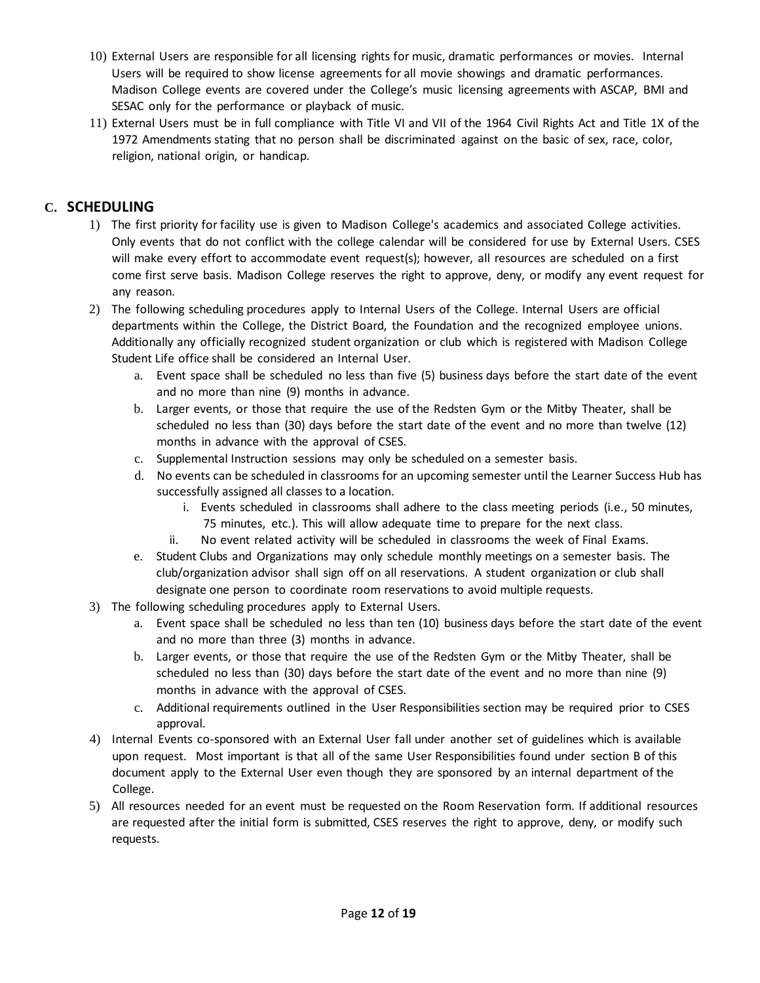- 10) External Users are responsible for all licensing rights for music, dramatic performances or movies. Internal Users will be required to show license agreements for all movie showings and dramatic performances. Madison College events are covered under the College's music licensing agreements with ASCAP, BMI and SESAC only for the performance or playback of music.
- 11) External Users must be in full compliance with Title VI and VII of the 1964 Civil Rights Act and Title 1X of the 1972 Amendments stating that no person shall be discriminated against on the basic of sex, race, color, religion, national origin, or handicap.

# **C. SCHEDULING**

- 1) The first priority for facility use is given to Madison College's academics and associated College activities. Only events that do not conflict with the college calendar will be considered for use by External Users. CSES will make every effort to accommodate event request(s); however, all resources are scheduled on a first come first serve basis. Madison College reserves the right to approve, deny, or modify any event request for any reason.
- 2) The following scheduling procedures apply to Internal Users of the College. Internal Users are official departments within the College, the District Board, the Foundation and the recognized employee unions. Additionally any officially recognized student organization or club which is registered with Madison College Student Life office shall be considered an Internal User.
	- a. Event space shall be scheduled no less than five (5) business days before the start date of the event and no more than nine (9) months in advance.
	- b. Larger events, or those that require the use of the Redsten Gym or the Mitby Theater, shall be scheduled no less than (30) days before the start date of the event and no more than twelve (12) months in advance with the approval of CSES.
	- c. Supplemental Instruction sessions may only be scheduled on a semester basis.
	- d. No events can be scheduled in classrooms for an upcoming semester until the Learner Success Hub has successfully assigned all classes to a location.
		- i. Events scheduled in classrooms shall adhere to the class meeting periods (i.e., 50 minutes, 75 minutes, etc.). This will allow adequate time to prepare for the next class.
		- ii. No event related activity will be scheduled in classrooms the week of Final Exams.
	- e. Student Clubs and Organizations may only schedule monthly meetings on a semester basis. The club/organization advisor shall sign off on all reservations. A student organization or club shall designate one person to coordinate room reservations to avoid multiple requests.
- 3) The following scheduling procedures apply to External Users.
	- a. Event space shall be scheduled no less than ten (10) business days before the start date of the event and no more than three (3) months in advance.
	- b. Larger events, or those that require the use of the Redsten Gym or the Mitby Theater, shall be scheduled no less than (30) days before the start date of the event and no more than nine (9) months in advance with the approval of CSES.
	- c. Additional requirements outlined in the User Responsibilities section may be required prior to CSES approval.
- 4) Internal Events co-sponsored with an External User fall under another set of guidelines which is available upon request. Most important is that all of the same User Responsibilities found under section B of this document apply to the External User even though they are sponsored by an internal department of the College.
- 5) All resources needed for an event must be requested on the Room Reservation form. If additional resources are requested after the initial form is submitted, CSES reserves the right to approve, deny, or modify such requests.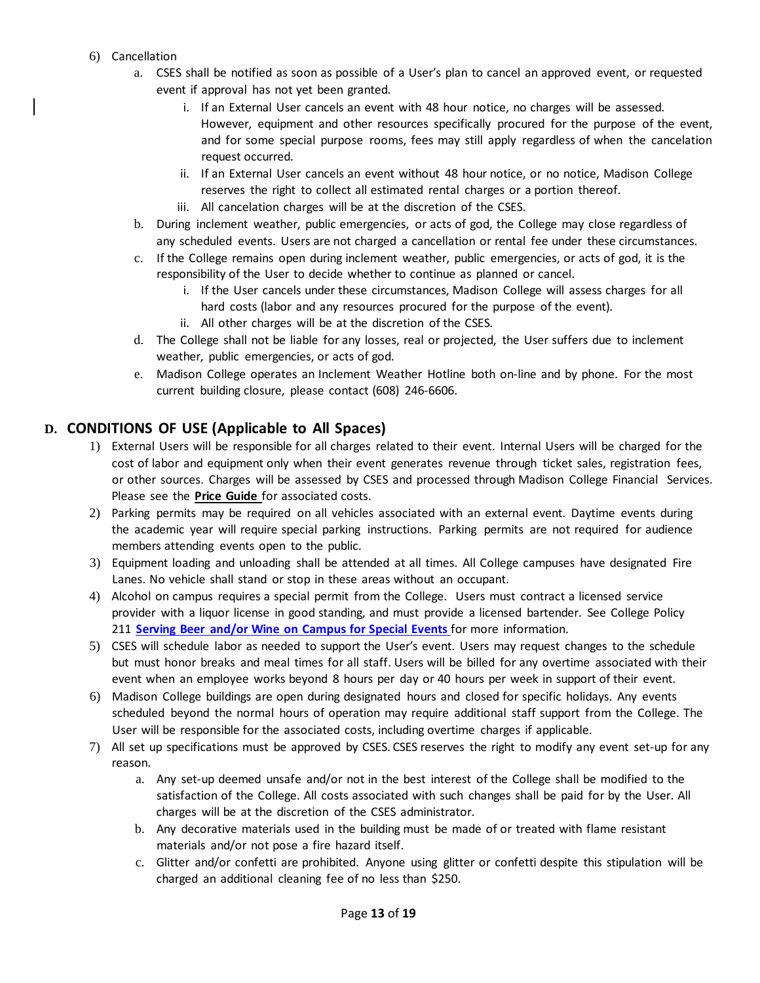- 6) Cancellation
	- a. CSES shall be notified as soon as possible of a User's plan to cancel an approved event, or requested event if approval has not yet been granted.
		- i. If an External User cancels an event with 48 hour notice, no charges will be assessed. However, equipment and other resources specifically procured for the purpose of the event, and for some special purpose rooms, fees may still apply regardless of when the cancelation request occurred.
		- ii. If an External User cancels an event without 48 hour notice, or no notice, Madison College reserves the right to collect all estimated rental charges or a portion thereof.
		- iii. All cancelation charges will be at the discretion of the CSES.
	- b. During inclement weather, public emergencies, or acts of god, the College may close regardless of any scheduled events. Users are not charged a cancellation or rental fee under these circumstances.
	- c. If the College remains open during inclement weather, public emergencies, or acts of god, it is the responsibility of the User to decide whether to continue as planned or cancel.
		- i. If the User cancels under these circumstances, Madison College will assess charges for all hard costs (labor and any resources procured for the purpose of the event).
		- ii. All other charges will be at the discretion of the CSES.
	- d. The College shall not be liable for any losses, real or projected, the User suffers due to inclement weather, public emergencies, or acts of god.
	- e. Madison College operates an Inclement Weather Hotline both on-line and by phone. For the most current building closure, please contact (608) 246-6606.

# **D. CONDITIONS OF USE (Applicable to All Spaces)**

- 1) External Users will be responsible for all charges related to their event. Internal Users will be charged for the cost of labor and equipment only when their event generates revenue through ticket sales, registration fees, or other sources. Charges will be assessed by CSES and processed through Madison College Financial Services. Please see the **Price Guide** for associated costs.
- 2) Parking permits may be required on all vehicles associated with an external event. Daytime events during the academic year will require special parking instructions. Parking permits are not required for audience members attending events open to the public.
- 3) Equipment loading and unloading shall be attended at all times. All College campuses have designated Fire Lanes. No vehicle shall stand or stop in these areas without an occupant.
- 4) Alcohol on campus requires a special permit from the College. Users must contract a licensed service provider with a liquor license in good standing, and must provide a licensed bartender. See College Policy 211 **Serving Beer and/or Wine on [Campus](http://intranet.madisoncollege.edu/forms-db/forms/211_BeerWineOnCampus.pdf) for Special Events** for more information.
- 5) CSES will schedule labor as needed to support the User's event. Users may request changes to the schedule but must honor breaks and meal times for all staff. Users will be billed for any overtime associated with their event when an employee works beyond 8 hours per day or 40 hours per week in support of their event.
- 6) Madison College buildings are open during designated hours and closed for specific holidays. Any events scheduled beyond the normal hours of operation may require additional staff support from the College. The User will be responsible for the associated costs, including overtime charges if applicable.
- 7) All set up specifications must be approved by CSES. CSES reserves the right to modify any event set-up for any reason.
	- a. Any set-up deemed unsafe and/or not in the best interest of the College shall be modified to the satisfaction of the College. All costs associated with such changes shall be paid for by the User. All charges will be at the discretion of the CSES administrator.
	- b. Any decorative materials used in the building must be made of or treated with flame resistant materials and/or not pose a fire hazard itself.
	- c. Glitter and/or confetti are prohibited. Anyone using glitter or confetti despite this stipulation will be charged an additional cleaning fee of no less than \$250.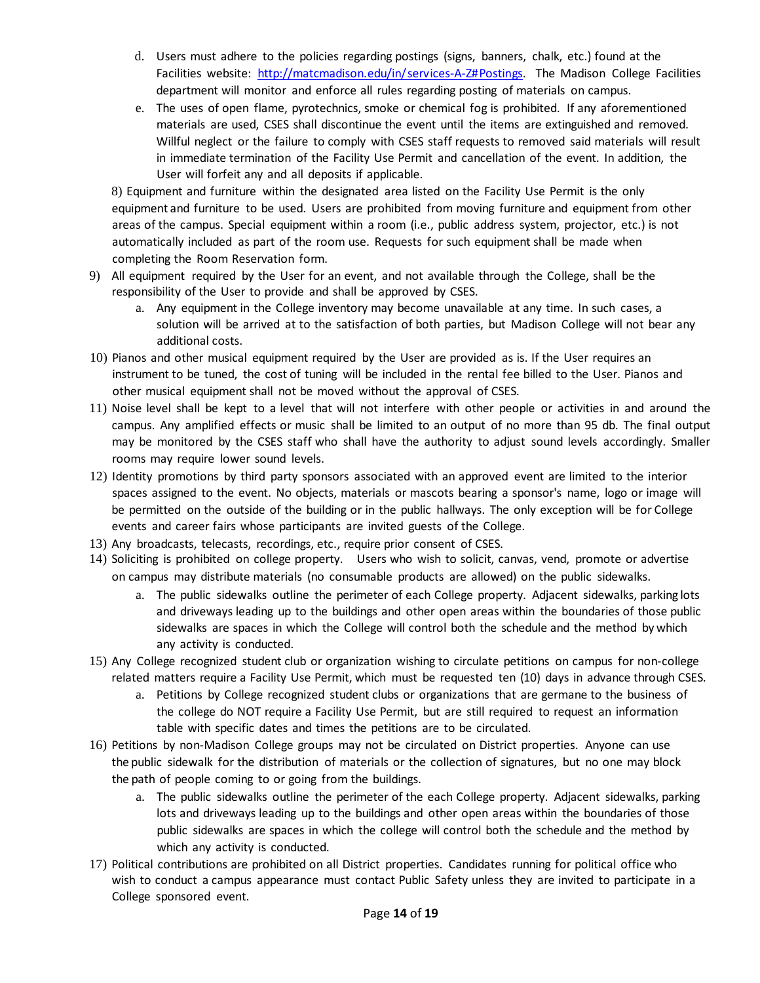- d. Users must adhere to the policies regarding postings (signs, banners, chalk, etc.) found at the Facilities website: [http://matcmadison.edu/in/services-A-Z#Postings. T](http://madisoncollege.edu/in/services-A-Z%23Postings)he Madison College Facilities department will monitor and enforce all rules regarding posting of materials on campus.
- e. The uses of open flame, pyrotechnics, smoke or chemical fog is prohibited. If any aforementioned materials are used, CSES shall discontinue the event until the items are extinguished and removed. Willful neglect or the failure to comply with CSES staff requests to removed said materials will result in immediate termination of the Facility Use Permit and cancellation of the event. In addition, the User will forfeit any and all deposits if applicable.

8) Equipment and furniture within the designated area listed on the Facility Use Permit is the only equipment and furniture to be used. Users are prohibited from moving furniture and equipment from other areas of the campus. Special equipment within a room (i.e., public address system, projector, etc.) is not automatically included as part of the room use. Requests for such equipment shall be made when completing the Room Reservation form.

- 9) All equipment required by the User for an event, and not available through the College, shall be the responsibility of the User to provide and shall be approved by CSES.
	- a. Any equipment in the College inventory may become unavailable at any time. In such cases, a solution will be arrived at to the satisfaction of both parties, but Madison College will not bear any additional costs.
- 10) Pianos and other musical equipment required by the User are provided as is. If the User requires an instrument to be tuned, the cost of tuning will be included in the rental fee billed to the User. Pianos and other musical equipment shall not be moved without the approval of CSES.
- 11) Noise level shall be kept to a level that will not interfere with other people or activities in and around the campus. Any amplified effects or music shall be limited to an output of no more than 95 db. The final output may be monitored by the CSES staff who shall have the authority to adjust sound levels accordingly. Smaller rooms may require lower sound levels.
- 12) Identity promotions by third party sponsors associated with an approved event are limited to the interior spaces assigned to the event. No objects, materials or mascots bearing a sponsor's name, logo or image will be permitted on the outside of the building or in the public hallways. The only exception will be for College events and career fairs whose participants are invited guests of the College.
- 13) Any broadcasts, telecasts, recordings, etc., require prior consent of CSES.
- 14) Soliciting is prohibited on college property. Users who wish to solicit, canvas, vend, promote or advertise on campus may distribute materials (no consumable products are allowed) on the public sidewalks.
	- a. The public sidewalks outline the perimeter of each College property. Adjacent sidewalks, parking lots and driveways leading up to the buildings and other open areas within the boundaries of those public sidewalks are spaces in which the College will control both the schedule and the method by which any activity is conducted.
- 15) Any College recognized student club or organization wishing to circulate petitions on campus for non-college related matters require a Facility Use Permit, which must be requested ten (10) days in advance through CSES.
	- a. Petitions by College recognized student clubs or organizations that are germane to the business of the college do NOT require a Facility Use Permit, but are still required to request an information table with specific dates and times the petitions are to be circulated.
- 16) Petitions by non-Madison College groups may not be circulated on District properties. Anyone can use the public sidewalk for the distribution of materials or the collection of signatures, but no one may block the path of people coming to or going from the buildings.
	- a. The public sidewalks outline the perimeter of the each College property. Adjacent sidewalks, parking lots and driveways leading up to the buildings and other open areas within the boundaries of those public sidewalks are spaces in which the college will control both the schedule and the method by which any activity is conducted.
- 17) Political contributions are prohibited on all District properties. Candidates running for political office who wish to conduct a campus appearance must contact Public Safety unless they are invited to participate in a College sponsored event.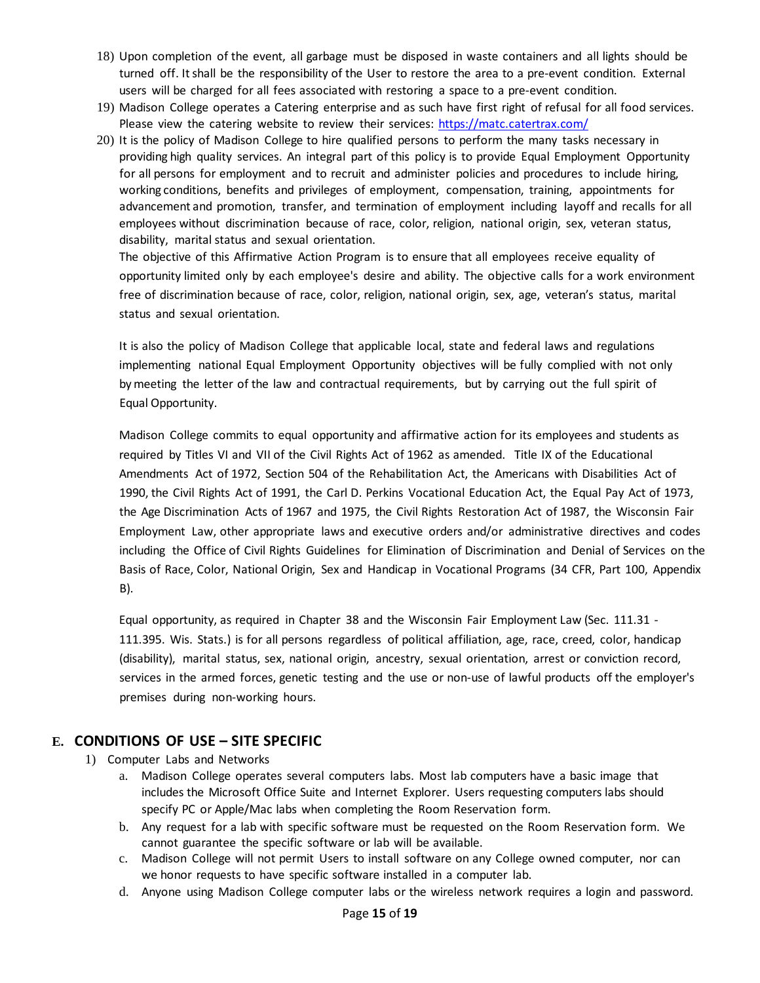- 18) Upon completion of the event, all garbage must be disposed in waste containers and all lights should be turned off. It shall be the responsibility of the User to restore the area to a pre-event condition. External users will be charged for all fees associated with restoring a space to a pre-event condition.
- 19) Madison College operates a Catering enterprise and as such have first right of refusal for all food services. Please view the catering website to review their services: <https://matc.catertrax.com/>
- 20) It is the policy of Madison College to hire qualified persons to perform the many tasks necessary in providing high quality services. An integral part of this policy is to provide Equal Employment Opportunity for all persons for employment and to recruit and administer policies and procedures to include hiring, working conditions, benefits and privileges of employment, compensation, training, appointments for advancement and promotion, transfer, and termination of employment including layoff and recalls for all employees without discrimination because of race, color, religion, national origin, sex, veteran status, disability, marital status and sexual orientation.

The objective of this Affirmative Action Program is to ensure that all employees receive equality of opportunity limited only by each employee's desire and ability. The objective calls for a work environment free of discrimination because of race, color, religion, national origin, sex, age, veteran's status, marital status and sexual orientation.

It is also the policy of Madison College that applicable local, state and federal laws and regulations implementing national Equal Employment Opportunity objectives will be fully complied with not only by meeting the letter of the law and contractual requirements, but by carrying out the full spirit of Equal Opportunity.

Madison College commits to equal opportunity and affirmative action for its employees and students as required by Titles VI and VII of the Civil Rights Act of 1962 as amended. Title IX of the Educational Amendments Act of 1972, Section 504 of the Rehabilitation Act, the Americans with Disabilities Act of 1990, the Civil Rights Act of 1991, the Carl D. Perkins Vocational Education Act, the Equal Pay Act of 1973, the Age Discrimination Acts of 1967 and 1975, the Civil Rights Restoration Act of 1987, the Wisconsin Fair Employment Law, other appropriate laws and executive orders and/or administrative directives and codes including the Office of Civil Rights Guidelines for Elimination of Discrimination and Denial of Services on the Basis of Race, Color, National Origin, Sex and Handicap in Vocational Programs (34 CFR, Part 100, Appendix B).

Equal opportunity, as required in Chapter 38 and the Wisconsin Fair Employment Law (Sec. 111.31 - 111.395. Wis. Stats.) is for all persons regardless of political affiliation, age, race, creed, color, handicap (disability), marital status, sex, national origin, ancestry, sexual orientation, arrest or conviction record, services in the armed forces, genetic testing and the use or non-use of lawful products off the employer's premises during non-working hours.

# **E. CONDITIONS OF USE – SITE SPECIFIC**

- 1) Computer Labs and Networks
	- a. Madison College operates several computers labs. Most lab computers have a basic image that includes the Microsoft Office Suite and Internet Explorer. Users requesting computers labs should specify PC or Apple/Mac labs when completing the Room Reservation form.
	- b. Any request for a lab with specific software must be requested on the Room Reservation form. We cannot guarantee the specific software or lab will be available.
	- c. Madison College will not permit Users to install software on any College owned computer, nor can we honor requests to have specific software installed in a computer lab.
	- d. Anyone using Madison College computer labs or the wireless network requires a login and password.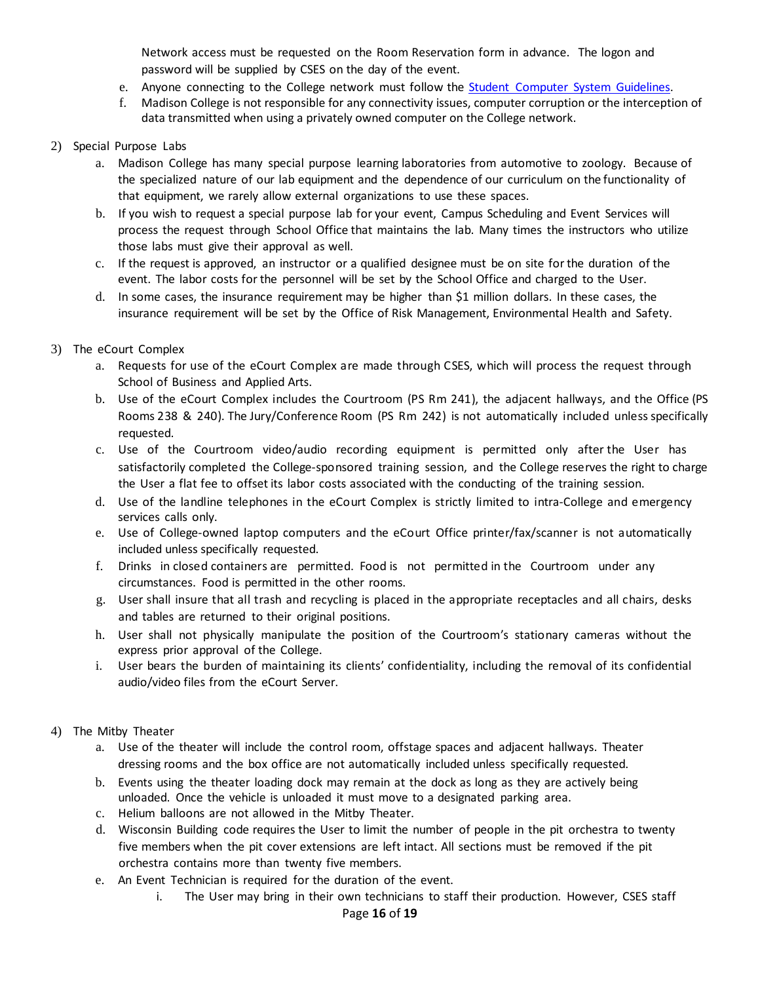Network access must be requested on the Room Reservation form in advance. The logon and password will be supplied by CSES on the day of the event.

- e. Anyone connecting to the College network must follow the Student Computer System [Guidelines.](http://madisoncollege.edu/student-computer-systems-guidelines)
- f. Madison College is not responsible for any connectivity issues, computer corruption or the interception of data transmitted when using a privately owned computer on the College network.

## 2) Special Purpose Labs

- a. Madison College has many special purpose learning laboratories from automotive to zoology. Because of the specialized nature of our lab equipment and the dependence of our curriculum on the functionality of that equipment, we rarely allow external organizations to use these spaces.
- b. If you wish to request a special purpose lab for your event, Campus Scheduling and Event Services will process the request through School Office that maintains the lab. Many times the instructors who utilize those labs must give their approval as well.
- c. If the request is approved, an instructor or a qualified designee must be on site forthe duration of the event. The labor costs for the personnel will be set by the School Office and charged to the User.
- d. In some cases, the insurance requirement may be higher than \$1 million dollars. In these cases, the insurance requirement will be set by the Office of Risk Management, Environmental Health and Safety.

## 3) The eCourt Complex

- a. Requests for use of the eCourt Complex are made through CSES, which will process the request through School of Business and Applied Arts.
- b. Use of the eCourt Complex includes the Courtroom (PS Rm 241), the adjacent hallways, and the Office (PS Rooms 238 & 240). The Jury/Conference Room (PS Rm 242) is not automatically included unless specifically requested.
- c. Use of the Courtroom video/audio recording equipment is permitted only after the User has satisfactorily completed the College-sponsored training session, and the College reserves the right to charge the User a flat fee to offset its labor costs associated with the conducting of the training session.
- d. Use of the landline telephones in the eCourt Complex is strictly limited to intra-College and emergency services calls only.
- e. Use of College-owned laptop computers and the eCourt Office printer/fax/scanner is not automatically included unless specifically requested.
- f. Drinks in closed containers are permitted. Food is not permitted in the Courtroom under any circumstances. Food is permitted in the other rooms.
- g. User shall insure that all trash and recycling is placed in the appropriate receptacles and all chairs, desks and tables are returned to their original positions.
- h. User shall not physically manipulate the position of the Courtroom's stationary cameras without the express prior approval of the College.
- i. User bears the burden of maintaining its clients' confidentiality, including the removal of its confidential audio/video files from the eCourt Server.

### 4) The Mitby Theater

- a. Use of the theater will include the control room, offstage spaces and adjacent hallways. Theater dressing rooms and the box office are not automatically included unless specifically requested.
- b. Events using the theater loading dock may remain at the dock as long as they are actively being unloaded. Once the vehicle is unloaded it must move to a designated parking area.
- c. Helium balloons are not allowed in the Mitby Theater.
- d. Wisconsin Building code requires the User to limit the number of people in the pit orchestra to twenty five members when the pit cover extensions are left intact. All sections must be removed if the pit orchestra contains more than twenty five members.
- e. An Event Technician is required for the duration of the event.
	- i. The User may bring in their own technicians to staff their production. However, CSES staff Page **16** of **19**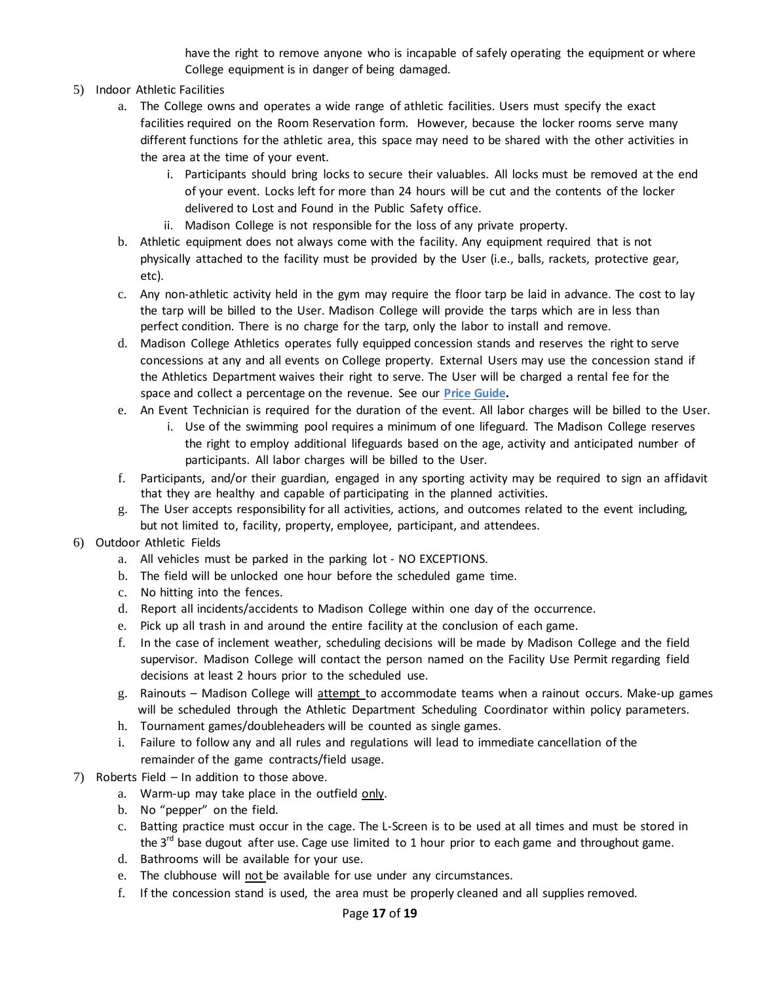have the right to remove anyone who is incapable of safely operating the equipment or where College equipment is in danger of being damaged.

- 5) Indoor Athletic Facilities
	- a. The College owns and operates a wide range of athletic facilities. Users must specify the exact facilities required on the Room Reservation form. However, because the locker rooms serve many different functions for the athletic area, this space may need to be shared with the other activities in the area at the time of your event.
		- i. Participants should bring locks to secure their valuables. All locks must be removed at the end of your event. Locks left for more than 24 hours will be cut and the contents of the locker delivered to Lost and Found in the Public Safety office.
		- ii. Madison College is not responsible for the loss of any private property.
	- b. Athletic equipment does not always come with the facility. Any equipment required that is not physically attached to the facility must be provided by the User (i.e., balls, rackets, protective gear, etc).
	- c. Any non-athletic activity held in the gym may require the floor tarp be laid in advance. The cost to lay the tarp will be billed to the User. Madison College will provide the tarps which are in less than perfect condition. There is no charge for the tarp, only the labor to install and remove.
	- d. Madison College Athletics operates fully equipped concession stands and reserves the right to serve concessions at any and all events on College property. External Users may use the concession stand if the Athletics Department waives their right to serve. The User will be charged a rental fee for the space and collect a percentage on the revenue. See our **Price Guide.**
	- e. An Event Technician is required for the duration of the event. All labor charges will be billed to the User.
		- i. Use of the swimming pool requires a minimum of one lifeguard. The Madison College reserves the right to employ additional lifeguards based on the age, activity and anticipated number of participants. All labor charges will be billed to the User.
	- f. Participants, and/or their guardian, engaged in any sporting activity may be required to sign an affidavit that they are healthy and capable of participating in the planned activities.
	- g. The User accepts responsibility for all activities, actions, and outcomes related to the event including, but not limited to, facility, property, employee, participant, and attendees.
- 6) Outdoor Athletic Fields
	- a. All vehicles must be parked in the parking lot NO EXCEPTIONS.
	- b. The field will be unlocked one hour before the scheduled game time.
	- c. No hitting into the fences.
	- d. Report all incidents/accidents to Madison College within one day of the occurrence.
	- e. Pick up all trash in and around the entire facility at the conclusion of each game.
	- f. In the case of inclement weather, scheduling decisions will be made by Madison College and the field supervisor. Madison College will contact the person named on the Facility Use Permit regarding field decisions at least 2 hours prior to the scheduled use.
	- g. Rainouts Madison College will attempt to accommodate teams when a rainout occurs. Make-up games will be scheduled through the Athletic Department Scheduling Coordinator within policy parameters.
	- h. Tournament games/doubleheaders will be counted as single games.
	- i. Failure to follow any and all rules and regulations will lead to immediate cancellation of the remainder of the game contracts/field usage.
- 7) Roberts Field In addition to those above.
	- a. Warm-up may take place in the outfield only.
	- b. No "pepper" on the field.
	- c. Batting practice must occur in the cage. The L-Screen is to be used at all times and must be stored in the  $3<sup>rd</sup>$  base dugout after use. Cage use limited to 1 hour prior to each game and throughout game.
	- d. Bathrooms will be available for your use.
	- e. The clubhouse will not be available for use under any circumstances.
	- f. If the concession stand is used, the area must be properly cleaned and all supplies removed.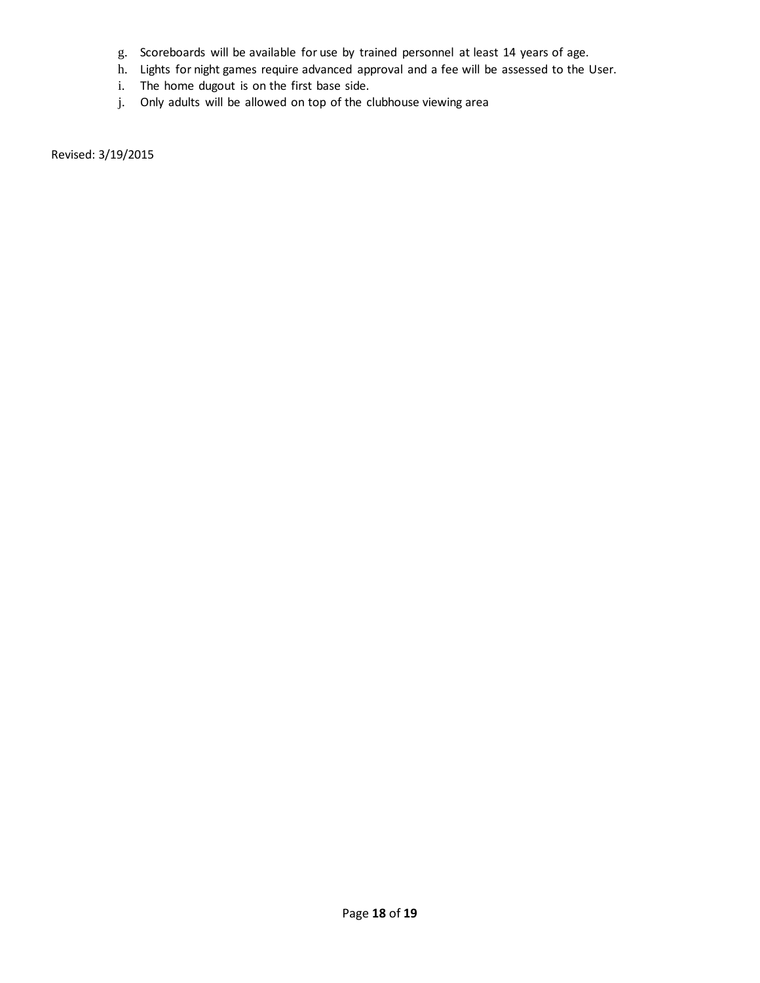- g. Scoreboards will be available for use by trained personnel at least 14 years of age.
- h. Lights for night games require advanced approval and a fee will be assessed to the User.
- i. The home dugout is on the first base side.
- j. Only adults will be allowed on top of the clubhouse viewing area

Revised: 3/19/2015